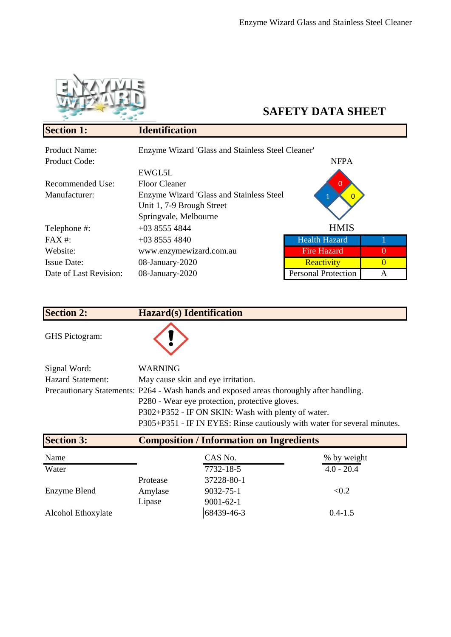

## **SAFETY DATA SHEET**

| <b>Section 1:</b>      | <b>Identification</b>                             |                            |          |
|------------------------|---------------------------------------------------|----------------------------|----------|
| <b>Product Name:</b>   | Enzyme Wizard 'Glass and Stainless Steel Cleaner' |                            |          |
| <b>Product Code:</b>   |                                                   | <b>NFPA</b>                |          |
|                        | EWGL5L                                            |                            |          |
| Recommended Use:       | <b>Floor Cleaner</b>                              |                            |          |
| Manufacturer:          | Enzyme Wizard 'Glass and Stainless Steel          |                            |          |
|                        | Unit 1, 7-9 Brough Street                         |                            |          |
|                        | Springvale, Melbourne                             |                            |          |
| Telephone #:           | $+0385554844$                                     | <b>HMIS</b>                |          |
| $FAX#$ :               | $+0385554840$                                     | <b>Health Hazard</b>       |          |
| Website:               | www.enzymewizard.com.au                           | <b>Fire Hazard</b>         | $\Omega$ |
| <b>Issue Date:</b>     | 08-January-2020                                   | Reactivity                 | $\Omega$ |
| Date of Last Revision: | 08-January-2020                                   | <b>Personal Protection</b> | A        |

| <b>Section 2:</b>        | <b>Hazard(s)</b> Identification                                                          |
|--------------------------|------------------------------------------------------------------------------------------|
| <b>GHS</b> Pictogram:    |                                                                                          |
| Signal Word:             | <b>WARNING</b>                                                                           |
| <b>Hazard Statement:</b> | May cause skin and eye irritation.                                                       |
|                          | Precautionary Statements: P264 - Wash hands and exposed areas thoroughly after handling. |
|                          | P280 - Wear eye protection, protective gloves.                                           |
|                          | P302+P352 - IF ON SKIN: Wash with plenty of water.                                       |
|                          | P305+P351 - IF IN EYES: Rinse cautiously with water for several minutes.                 |

| <b>Section 3:</b>  | <b>Composition / Information on Ingredients</b> |                 |              |
|--------------------|-------------------------------------------------|-----------------|--------------|
| Name               |                                                 | CAS No.         | % by weight  |
| Water              |                                                 | 7732-18-5       | $4.0 - 20.4$ |
|                    | Protease                                        | 37228-80-1      |              |
| Enzyme Blend       | Amylase                                         | 9032-75-1       | < 0.2        |
|                    | Lipase                                          | $9001 - 62 - 1$ |              |
| Alcohol Ethoxylate |                                                 | 68439-46-3      | $0.4 - 1.5$  |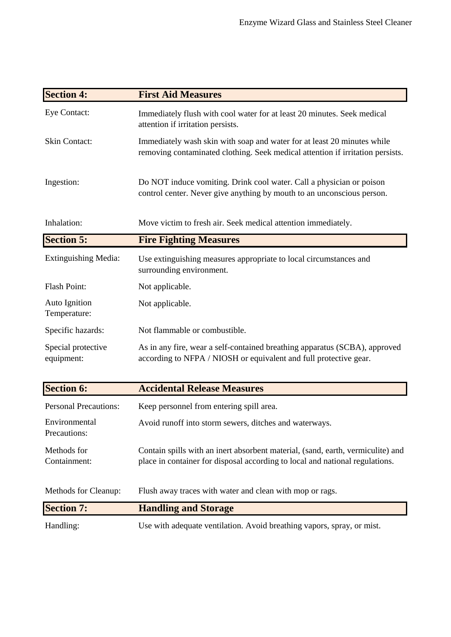| <b>Section 4:</b>                | <b>First Aid Measures</b>                                                                                                                                       |
|----------------------------------|-----------------------------------------------------------------------------------------------------------------------------------------------------------------|
| Eye Contact:                     | Immediately flush with cool water for at least 20 minutes. Seek medical<br>attention if irritation persists.                                                    |
| <b>Skin Contact:</b>             | Immediately wash skin with soap and water for at least 20 minutes while<br>removing contaminated clothing. Seek medical attention if irritation persists.       |
| Ingestion:                       | Do NOT induce vomiting. Drink cool water. Call a physician or poison<br>control center. Never give anything by mouth to an unconscious person.                  |
| Inhalation:                      | Move victim to fresh air. Seek medical attention immediately.                                                                                                   |
| <b>Section 5:</b>                | <b>Fire Fighting Measures</b>                                                                                                                                   |
| <b>Extinguishing Media:</b>      | Use extinguishing measures appropriate to local circumstances and<br>surrounding environment.                                                                   |
| Flash Point:                     | Not applicable.                                                                                                                                                 |
| Auto Ignition<br>Temperature:    | Not applicable.                                                                                                                                                 |
| Specific hazards:                | Not flammable or combustible.                                                                                                                                   |
| Special protective<br>equipment: | As in any fire, wear a self-contained breathing apparatus (SCBA), approved<br>according to NFPA / NIOSH or equivalent and full protective gear.                 |
| <b>Section 6:</b>                | <b>Accidental Release Measures</b>                                                                                                                              |
| <b>Personal Precautions:</b>     | Keep personnel from entering spill area.                                                                                                                        |
| Environmental<br>Precautions:    | Avoid runoff into storm sewers, ditches and waterways.                                                                                                          |
| Methods for<br>Containment:      | Contain spills with an inert absorbent material, (sand, earth, vermiculite) and<br>place in container for disposal according to local and national regulations. |
| Methods for Cleanup:             | Flush away traces with water and clean with mop or rags.                                                                                                        |
| <b>Section 7:</b>                | <b>Handling and Storage</b>                                                                                                                                     |
| Handling:                        | Use with adequate ventilation. Avoid breathing vapors, spray, or mist.                                                                                          |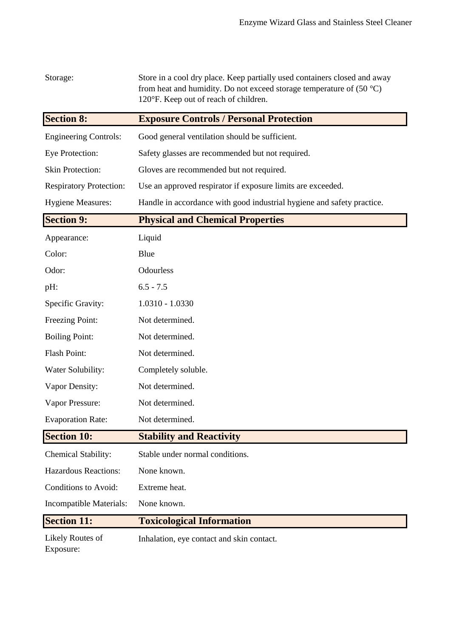| Storage:                       | Store in a cool dry place. Keep partially used containers closed and away<br>from heat and humidity. Do not exceed storage temperature of $(50 °C)$<br>120°F. Keep out of reach of children. |
|--------------------------------|----------------------------------------------------------------------------------------------------------------------------------------------------------------------------------------------|
| <b>Section 8:</b>              | <b>Exposure Controls / Personal Protection</b>                                                                                                                                               |
| <b>Engineering Controls:</b>   | Good general ventilation should be sufficient.                                                                                                                                               |
| Eye Protection:                | Safety glasses are recommended but not required.                                                                                                                                             |
| <b>Skin Protection:</b>        | Gloves are recommended but not required.                                                                                                                                                     |
| <b>Respiratory Protection:</b> | Use an approved respirator if exposure limits are exceeded.                                                                                                                                  |
| <b>Hygiene Measures:</b>       | Handle in accordance with good industrial hygiene and safety practice.                                                                                                                       |
| <b>Section 9:</b>              | <b>Physical and Chemical Properties</b>                                                                                                                                                      |
| Appearance:                    | Liquid                                                                                                                                                                                       |
| Color:                         | Blue                                                                                                                                                                                         |
| Odor:                          | Odourless                                                                                                                                                                                    |
| pH:                            | $6.5 - 7.5$                                                                                                                                                                                  |
| Specific Gravity:              | 1.0310 - 1.0330                                                                                                                                                                              |
| Freezing Point:                | Not determined.                                                                                                                                                                              |
| <b>Boiling Point:</b>          | Not determined.                                                                                                                                                                              |
| <b>Flash Point:</b>            | Not determined.                                                                                                                                                                              |
| Water Solubility:              | Completely soluble.                                                                                                                                                                          |
| Vapor Density:                 | Not determined.                                                                                                                                                                              |
| Vapor Pressure:                | Not determined.                                                                                                                                                                              |
| <b>Evaporation Rate:</b>       | Not determined.                                                                                                                                                                              |
| <b>Section 10:</b>             | <b>Stability and Reactivity</b>                                                                                                                                                              |
| Chemical Stability:            | Stable under normal conditions.                                                                                                                                                              |
| <b>Hazardous Reactions:</b>    | None known.                                                                                                                                                                                  |
| Conditions to Avoid:           | Extreme heat.                                                                                                                                                                                |
| Incompatible Materials:        | None known.                                                                                                                                                                                  |
| <b>Section 11:</b>             | <b>Toxicological Information</b>                                                                                                                                                             |
| Likely Routes of<br>Exposure:  | Inhalation, eye contact and skin contact.                                                                                                                                                    |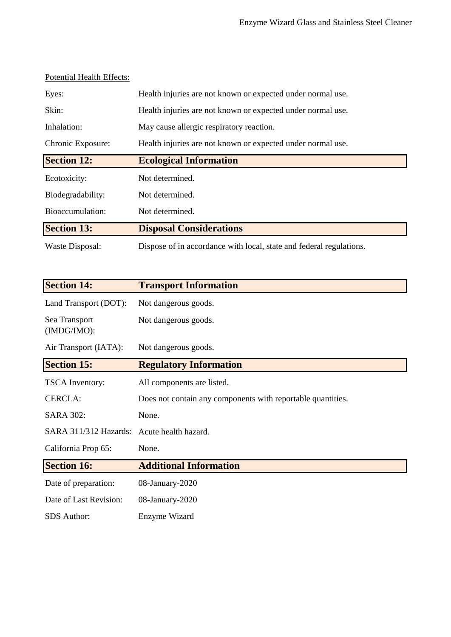| Eyes:              | Health injuries are not known or expected under normal use. |
|--------------------|-------------------------------------------------------------|
| Skin:              | Health injuries are not known or expected under normal use. |
| Inhalation:        | May cause allergic respiratory reaction.                    |
| Chronic Exposure:  | Health injuries are not known or expected under normal use. |
| <b>Section 12:</b> | <b>Ecological Information</b>                               |
| Ecotoxicity:       | Not determined.                                             |
| Biodegradability:  | Not determined.                                             |
| Bioaccumulation:   | Not determined.                                             |
| <b>Section 13:</b> | <b>Disposal Considerations</b>                              |
| Waste Disposal:    |                                                             |

| <b>Section 14:</b>           | <b>Transport Information</b>                                |
|------------------------------|-------------------------------------------------------------|
| Land Transport (DOT):        | Not dangerous goods.                                        |
| Sea Transport<br>(IMDG/IMO): | Not dangerous goods.                                        |
| Air Transport (IATA):        | Not dangerous goods.                                        |
| <b>Section 15:</b>           | <b>Regulatory Information</b>                               |
| <b>TSCA</b> Inventory:       | All components are listed.                                  |
| <b>CERCLA:</b>               | Does not contain any components with reportable quantities. |
| <b>SARA 302:</b>             | None.                                                       |
| SARA 311/312 Hazards:        | Acute health hazard.                                        |
| California Prop 65:          | None.                                                       |
| <b>Section 16:</b>           | <b>Additional Information</b>                               |
| Date of preparation:         | 08-January-2020                                             |
| Date of Last Revision:       | 08-January-2020                                             |
| <b>SDS</b> Author:           | Enzyme Wizard                                               |

## Potential Health Effects: